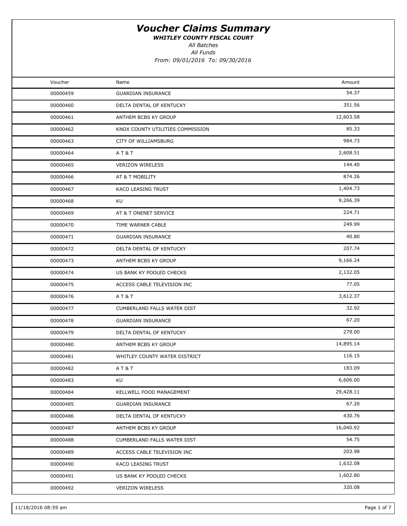WHITLEY COUNTY FISCAL COURT

All Batches

All Funds

| Voucher<br>Amount<br>Name<br>54.37<br>00000459<br><b>GUARDIAN INSURANCE</b><br>351.56<br>00000460<br>DELTA DENTAL OF KENTUCKY<br>12,603.58<br>00000461<br>ANTHEM BCBS KY GROUP<br>85.33<br>00000462<br>KNOX COUNTY UTILITIES COMMISSION<br>984.73<br>00000463<br>CITY OF WILLIAMSBURG<br>2,608.51<br>00000464<br><b>AT&amp;T</b><br>144.40<br>00000465<br><b>VERIZON WIRELESS</b><br>874.26<br>00000466<br>AT & T MOBILITY<br>1,404.73<br>00000467<br>KACO LEASING TRUST<br>9,266.39<br>KU<br>00000468<br>224.71<br>AT & T ONENET SERVICE<br>00000469<br>249.99<br>00000470<br>TIME WARNER CABLE<br>40.80<br>00000471<br><b>GUARDIAN INSURANCE</b><br>207.74<br>00000472<br>DELTA DENTAL OF KENTUCKY<br>9,166.24<br>00000473<br>ANTHEM BCBS KY GROUP<br>2,132.05<br>00000474<br>US BANK KY POOLED CHECKS<br>77.05<br>00000475<br>ACCESS CABLE TELEVISION INC<br>3,612.37<br>00000476<br>AT&T<br>32.92<br>00000477<br>CUMBERLAND FALLS WATER DIST<br>67.20<br>00000478<br><b>GUARDIAN INSURANCE</b><br>279.00<br>00000479<br>DELTA DENTAL OF KENTUCKY<br>14,895.14<br>00000480<br>ANTHEM BCBS KY GROUP<br>116.15<br>00000481<br>WHITLEY COUNTY WATER DISTRICT<br>183.09<br>00000482<br><b>AT&amp;T</b><br>6,606.00<br>00000483<br>KU<br>29,428.11<br>00000484<br>KELLWELL FOOD MANAGEMENT<br>67.20<br>00000485<br><b>GUARDIAN INSURANCE</b><br>430.76<br>00000486<br>DELTA DENTAL OF KENTUCKY<br>16,040.92<br>00000487<br>ANTHEM BCBS KY GROUP<br>54.75<br>00000488<br>CUMBERLAND FALLS WATER DIST<br>203.98<br>00000489<br>ACCESS CABLE TELEVISION INC<br>1,632.08<br>KACO LEASING TRUST<br>00000490<br>1,602.80<br>00000491<br>US BANK KY POOLED CHECKS |          |                         |        |  |
|----------------------------------------------------------------------------------------------------------------------------------------------------------------------------------------------------------------------------------------------------------------------------------------------------------------------------------------------------------------------------------------------------------------------------------------------------------------------------------------------------------------------------------------------------------------------------------------------------------------------------------------------------------------------------------------------------------------------------------------------------------------------------------------------------------------------------------------------------------------------------------------------------------------------------------------------------------------------------------------------------------------------------------------------------------------------------------------------------------------------------------------------------------------------------------------------------------------------------------------------------------------------------------------------------------------------------------------------------------------------------------------------------------------------------------------------------------------------------------------------------------------------------------------------------------------------------------------------------------------------------------------------------------|----------|-------------------------|--------|--|
|                                                                                                                                                                                                                                                                                                                                                                                                                                                                                                                                                                                                                                                                                                                                                                                                                                                                                                                                                                                                                                                                                                                                                                                                                                                                                                                                                                                                                                                                                                                                                                                                                                                          |          |                         |        |  |
|                                                                                                                                                                                                                                                                                                                                                                                                                                                                                                                                                                                                                                                                                                                                                                                                                                                                                                                                                                                                                                                                                                                                                                                                                                                                                                                                                                                                                                                                                                                                                                                                                                                          |          |                         |        |  |
|                                                                                                                                                                                                                                                                                                                                                                                                                                                                                                                                                                                                                                                                                                                                                                                                                                                                                                                                                                                                                                                                                                                                                                                                                                                                                                                                                                                                                                                                                                                                                                                                                                                          |          |                         |        |  |
|                                                                                                                                                                                                                                                                                                                                                                                                                                                                                                                                                                                                                                                                                                                                                                                                                                                                                                                                                                                                                                                                                                                                                                                                                                                                                                                                                                                                                                                                                                                                                                                                                                                          |          |                         |        |  |
|                                                                                                                                                                                                                                                                                                                                                                                                                                                                                                                                                                                                                                                                                                                                                                                                                                                                                                                                                                                                                                                                                                                                                                                                                                                                                                                                                                                                                                                                                                                                                                                                                                                          |          |                         |        |  |
|                                                                                                                                                                                                                                                                                                                                                                                                                                                                                                                                                                                                                                                                                                                                                                                                                                                                                                                                                                                                                                                                                                                                                                                                                                                                                                                                                                                                                                                                                                                                                                                                                                                          |          |                         |        |  |
|                                                                                                                                                                                                                                                                                                                                                                                                                                                                                                                                                                                                                                                                                                                                                                                                                                                                                                                                                                                                                                                                                                                                                                                                                                                                                                                                                                                                                                                                                                                                                                                                                                                          |          |                         |        |  |
|                                                                                                                                                                                                                                                                                                                                                                                                                                                                                                                                                                                                                                                                                                                                                                                                                                                                                                                                                                                                                                                                                                                                                                                                                                                                                                                                                                                                                                                                                                                                                                                                                                                          |          |                         |        |  |
|                                                                                                                                                                                                                                                                                                                                                                                                                                                                                                                                                                                                                                                                                                                                                                                                                                                                                                                                                                                                                                                                                                                                                                                                                                                                                                                                                                                                                                                                                                                                                                                                                                                          |          |                         |        |  |
|                                                                                                                                                                                                                                                                                                                                                                                                                                                                                                                                                                                                                                                                                                                                                                                                                                                                                                                                                                                                                                                                                                                                                                                                                                                                                                                                                                                                                                                                                                                                                                                                                                                          |          |                         |        |  |
|                                                                                                                                                                                                                                                                                                                                                                                                                                                                                                                                                                                                                                                                                                                                                                                                                                                                                                                                                                                                                                                                                                                                                                                                                                                                                                                                                                                                                                                                                                                                                                                                                                                          |          |                         |        |  |
|                                                                                                                                                                                                                                                                                                                                                                                                                                                                                                                                                                                                                                                                                                                                                                                                                                                                                                                                                                                                                                                                                                                                                                                                                                                                                                                                                                                                                                                                                                                                                                                                                                                          |          |                         |        |  |
|                                                                                                                                                                                                                                                                                                                                                                                                                                                                                                                                                                                                                                                                                                                                                                                                                                                                                                                                                                                                                                                                                                                                                                                                                                                                                                                                                                                                                                                                                                                                                                                                                                                          |          |                         |        |  |
|                                                                                                                                                                                                                                                                                                                                                                                                                                                                                                                                                                                                                                                                                                                                                                                                                                                                                                                                                                                                                                                                                                                                                                                                                                                                                                                                                                                                                                                                                                                                                                                                                                                          |          |                         |        |  |
|                                                                                                                                                                                                                                                                                                                                                                                                                                                                                                                                                                                                                                                                                                                                                                                                                                                                                                                                                                                                                                                                                                                                                                                                                                                                                                                                                                                                                                                                                                                                                                                                                                                          |          |                         |        |  |
|                                                                                                                                                                                                                                                                                                                                                                                                                                                                                                                                                                                                                                                                                                                                                                                                                                                                                                                                                                                                                                                                                                                                                                                                                                                                                                                                                                                                                                                                                                                                                                                                                                                          |          |                         |        |  |
|                                                                                                                                                                                                                                                                                                                                                                                                                                                                                                                                                                                                                                                                                                                                                                                                                                                                                                                                                                                                                                                                                                                                                                                                                                                                                                                                                                                                                                                                                                                                                                                                                                                          |          |                         |        |  |
|                                                                                                                                                                                                                                                                                                                                                                                                                                                                                                                                                                                                                                                                                                                                                                                                                                                                                                                                                                                                                                                                                                                                                                                                                                                                                                                                                                                                                                                                                                                                                                                                                                                          |          |                         |        |  |
|                                                                                                                                                                                                                                                                                                                                                                                                                                                                                                                                                                                                                                                                                                                                                                                                                                                                                                                                                                                                                                                                                                                                                                                                                                                                                                                                                                                                                                                                                                                                                                                                                                                          |          |                         |        |  |
|                                                                                                                                                                                                                                                                                                                                                                                                                                                                                                                                                                                                                                                                                                                                                                                                                                                                                                                                                                                                                                                                                                                                                                                                                                                                                                                                                                                                                                                                                                                                                                                                                                                          |          |                         |        |  |
|                                                                                                                                                                                                                                                                                                                                                                                                                                                                                                                                                                                                                                                                                                                                                                                                                                                                                                                                                                                                                                                                                                                                                                                                                                                                                                                                                                                                                                                                                                                                                                                                                                                          |          |                         |        |  |
|                                                                                                                                                                                                                                                                                                                                                                                                                                                                                                                                                                                                                                                                                                                                                                                                                                                                                                                                                                                                                                                                                                                                                                                                                                                                                                                                                                                                                                                                                                                                                                                                                                                          |          |                         |        |  |
|                                                                                                                                                                                                                                                                                                                                                                                                                                                                                                                                                                                                                                                                                                                                                                                                                                                                                                                                                                                                                                                                                                                                                                                                                                                                                                                                                                                                                                                                                                                                                                                                                                                          |          |                         |        |  |
|                                                                                                                                                                                                                                                                                                                                                                                                                                                                                                                                                                                                                                                                                                                                                                                                                                                                                                                                                                                                                                                                                                                                                                                                                                                                                                                                                                                                                                                                                                                                                                                                                                                          |          |                         |        |  |
|                                                                                                                                                                                                                                                                                                                                                                                                                                                                                                                                                                                                                                                                                                                                                                                                                                                                                                                                                                                                                                                                                                                                                                                                                                                                                                                                                                                                                                                                                                                                                                                                                                                          |          |                         |        |  |
|                                                                                                                                                                                                                                                                                                                                                                                                                                                                                                                                                                                                                                                                                                                                                                                                                                                                                                                                                                                                                                                                                                                                                                                                                                                                                                                                                                                                                                                                                                                                                                                                                                                          |          |                         |        |  |
|                                                                                                                                                                                                                                                                                                                                                                                                                                                                                                                                                                                                                                                                                                                                                                                                                                                                                                                                                                                                                                                                                                                                                                                                                                                                                                                                                                                                                                                                                                                                                                                                                                                          |          |                         |        |  |
|                                                                                                                                                                                                                                                                                                                                                                                                                                                                                                                                                                                                                                                                                                                                                                                                                                                                                                                                                                                                                                                                                                                                                                                                                                                                                                                                                                                                                                                                                                                                                                                                                                                          |          |                         |        |  |
|                                                                                                                                                                                                                                                                                                                                                                                                                                                                                                                                                                                                                                                                                                                                                                                                                                                                                                                                                                                                                                                                                                                                                                                                                                                                                                                                                                                                                                                                                                                                                                                                                                                          |          |                         |        |  |
|                                                                                                                                                                                                                                                                                                                                                                                                                                                                                                                                                                                                                                                                                                                                                                                                                                                                                                                                                                                                                                                                                                                                                                                                                                                                                                                                                                                                                                                                                                                                                                                                                                                          |          |                         |        |  |
|                                                                                                                                                                                                                                                                                                                                                                                                                                                                                                                                                                                                                                                                                                                                                                                                                                                                                                                                                                                                                                                                                                                                                                                                                                                                                                                                                                                                                                                                                                                                                                                                                                                          |          |                         |        |  |
|                                                                                                                                                                                                                                                                                                                                                                                                                                                                                                                                                                                                                                                                                                                                                                                                                                                                                                                                                                                                                                                                                                                                                                                                                                                                                                                                                                                                                                                                                                                                                                                                                                                          |          |                         |        |  |
|                                                                                                                                                                                                                                                                                                                                                                                                                                                                                                                                                                                                                                                                                                                                                                                                                                                                                                                                                                                                                                                                                                                                                                                                                                                                                                                                                                                                                                                                                                                                                                                                                                                          |          |                         |        |  |
|                                                                                                                                                                                                                                                                                                                                                                                                                                                                                                                                                                                                                                                                                                                                                                                                                                                                                                                                                                                                                                                                                                                                                                                                                                                                                                                                                                                                                                                                                                                                                                                                                                                          |          |                         |        |  |
|                                                                                                                                                                                                                                                                                                                                                                                                                                                                                                                                                                                                                                                                                                                                                                                                                                                                                                                                                                                                                                                                                                                                                                                                                                                                                                                                                                                                                                                                                                                                                                                                                                                          | 00000492 | <b>VERIZON WIRELESS</b> | 320.08 |  |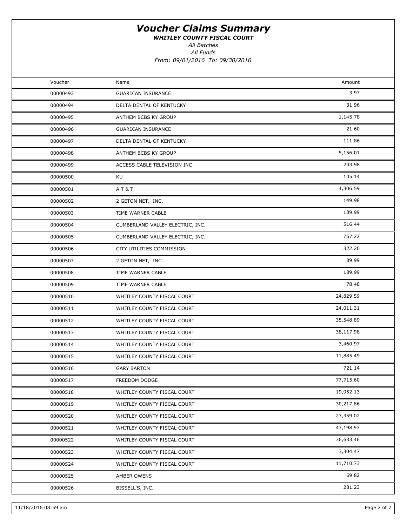WHITLEY COUNTY FISCAL COURT

All Batches

All Funds

| Voucher  | Name                             | Amount    |  |
|----------|----------------------------------|-----------|--|
| 00000493 | <b>GUARDIAN INSURANCE</b>        | 3.97      |  |
| 00000494 | DELTA DENTAL OF KENTUCKY         | 31.96     |  |
| 00000495 | ANTHEM BCBS KY GROUP             | 1,145.78  |  |
| 00000496 | <b>GUARDIAN INSURANCE</b>        | 21.60     |  |
| 00000497 | DELTA DENTAL OF KENTUCKY         | 111.86    |  |
| 00000498 | ANTHEM BCBS KY GROUP             | 5,156.01  |  |
| 00000499 | ACCESS CABLE TELEVISION INC      | 203.98    |  |
| 00000500 | KU                               | 105.14    |  |
| 00000501 | <b>AT&amp;T</b>                  | 4,306.59  |  |
| 00000502 | 2 GETON NET, INC.                | 149.98    |  |
| 00000503 | TIME WARNER CABLE                | 189.99    |  |
| 00000504 | CUMBERLAND VALLEY ELECTRIC, INC. | 516.44    |  |
| 00000505 | CUMBERLAND VALLEY ELECTRIC, INC. | 767.22    |  |
| 00000506 | CITY UTILITIES COMMISSION        | 322.20    |  |
| 00000507 | 2 GETON NET, INC.                | 89.99     |  |
| 00000508 | TIME WARNER CABLE                | 189.99    |  |
| 00000509 | TIME WARNER CABLE                | 78.48     |  |
| 00000510 | WHITLEY COUNTY FISCAL COURT      | 24,829.59 |  |
| 00000511 | WHITLEY COUNTY FISCAL COURT      | 24,011.31 |  |
| 00000512 | WHITLEY COUNTY FISCAL COURT      | 35,548.89 |  |
| 00000513 | WHITLEY COUNTY FISCAL COURT      | 38,117.98 |  |
| 00000514 | WHITLEY COUNTY FISCAL COURT      | 3,460.97  |  |
| 00000515 | WHITLEY COUNTY FISCAL COURT      | 11,885.49 |  |
| 00000516 | <b>GARY BARTON</b>               | 721.14    |  |
| 00000517 | FREEDOM DODGE                    | 77,715.60 |  |
| 00000518 | WHITLEY COUNTY FISCAL COURT      | 19,952.13 |  |
| 00000519 | WHITLEY COUNTY FISCAL COURT      | 30,217.86 |  |
| 00000520 | WHITLEY COUNTY FISCAL COURT      | 23,359.02 |  |
| 00000521 | WHITLEY COUNTY FISCAL COURT      | 43,198.93 |  |
| 00000522 | WHITLEY COUNTY FISCAL COURT      | 36,633.46 |  |
| 00000523 | WHITLEY COUNTY FISCAL COURT      | 3,304.47  |  |
| 00000524 | WHITLEY COUNTY FISCAL COURT      | 11,710.73 |  |
| 00000525 | AMBER OWENS                      | 69.82     |  |
| 00000526 | BISSELL'S, INC.                  | 281.23    |  |
|          |                                  |           |  |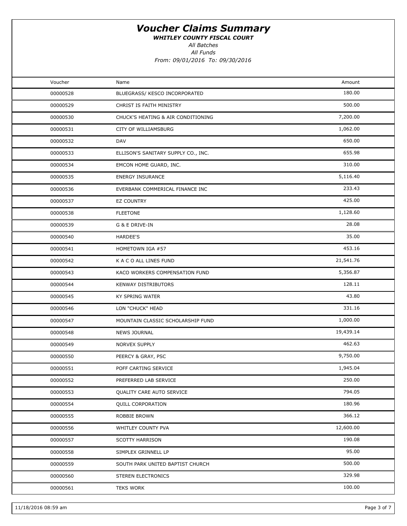WHITLEY COUNTY FISCAL COURT

All Batches

All Funds

| Voucher  | Name                                | Amount    |  |
|----------|-------------------------------------|-----------|--|
| 00000528 | BLUEGRASS/ KESCO INCORPORATED       | 180.00    |  |
| 00000529 | CHRIST IS FAITH MINISTRY            | 500.00    |  |
| 00000530 | CHUCK'S HEATING & AIR CONDITIONING  | 7,200.00  |  |
| 00000531 | CITY OF WILLIAMSBURG                | 1,062.00  |  |
| 00000532 | DAV                                 | 650.00    |  |
| 00000533 | ELLISON'S SANITARY SUPPLY CO., INC. | 655.98    |  |
| 00000534 | EMCON HOME GUARD, INC.              | 310.00    |  |
| 00000535 | <b>ENERGY INSURANCE</b>             | 5,116.40  |  |
| 00000536 | EVERBANK COMMERICAL FINANCE INC     | 233.43    |  |
| 00000537 | <b>EZ COUNTRY</b>                   | 425.00    |  |
| 00000538 | <b>FLEETONE</b>                     | 1,128.60  |  |
| 00000539 | G & E DRIVE-IN                      | 28.08     |  |
| 00000540 | HARDEE'S                            | 35.00     |  |
| 00000541 | HOMETOWN IGA #57                    | 453.16    |  |
| 00000542 | K A C O ALL LINES FUND              | 21,541.76 |  |
| 00000543 | KACO WORKERS COMPENSATION FUND      | 5,356.87  |  |
| 00000544 | <b>KENWAY DISTRIBUTORS</b>          | 128.11    |  |
| 00000545 | KY SPRING WATER                     | 43.80     |  |
| 00000546 | LON "CHUCK" HEAD                    | 331.16    |  |
| 00000547 | MOUNTAIN CLASSIC SCHOLARSHIP FUND   | 1,000.00  |  |
| 00000548 | <b>NEWS JOURNAL</b>                 | 19,439.14 |  |
| 00000549 | NORVEX SUPPLY                       | 462.63    |  |
| 00000550 | PEERCY & GRAY, PSC                  | 9,750.00  |  |
| 00000551 | POFF CARTING SERVICE                | 1,945.04  |  |
| 00000552 | PREFERRED LAB SERVICE               | 250.00    |  |
| 00000553 | <b>QUALITY CARE AUTO SERVICE</b>    | 794.05    |  |
| 00000554 | <b>QUILL CORPORATION</b>            | 180.96    |  |
| 00000555 | ROBBIE BROWN                        | 366.12    |  |
| 00000556 | WHITLEY COUNTY PVA                  | 12,600.00 |  |
| 00000557 | <b>SCOTTY HARRISON</b>              | 190.08    |  |
| 00000558 | SIMPLEX GRINNELL LP                 | 95.00     |  |
| 00000559 | SOUTH PARK UNITED BAPTIST CHURCH    | 500.00    |  |
| 00000560 | STEREN ELECTRONICS                  | 329.98    |  |
| 00000561 | <b>TEKS WORK</b>                    | 100.00    |  |
|          |                                     |           |  |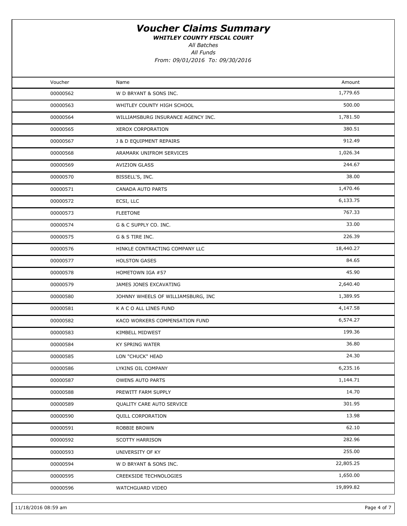WHITLEY COUNTY FISCAL COURT

All Batches

All Funds

| Voucher  | Name                               | Amount    |  |
|----------|------------------------------------|-----------|--|
| 00000562 | W D BRYANT & SONS INC.             | 1,779.65  |  |
| 00000563 | WHITLEY COUNTY HIGH SCHOOL         | 500.00    |  |
| 00000564 | WILLIAMSBURG INSURANCE AGENCY INC. | 1,781.50  |  |
| 00000565 | XEROX CORPORATION                  | 380.51    |  |
| 00000567 | J & D EQUIPMENT REPAIRS            | 912.49    |  |
| 00000568 | ARAMARK UNIFROM SERVICES           | 1,026.34  |  |
| 00000569 | <b>AVIZION GLASS</b>               | 244.67    |  |
| 00000570 | BISSELL'S, INC.                    | 38.00     |  |
| 00000571 | CANADA AUTO PARTS                  | 1,470.46  |  |
| 00000572 | ECSI, LLC                          | 6,133.75  |  |
| 00000573 | <b>FLEETONE</b>                    | 767.33    |  |
| 00000574 | G & C SUPPLY CO. INC.              | 33.00     |  |
| 00000575 | G & S TIRE INC.                    | 226.39    |  |
| 00000576 | HINKLE CONTRACTING COMPANY LLC     | 18,440.27 |  |
| 00000577 | <b>HOLSTON GASES</b>               | 84.65     |  |
| 00000578 | HOMETOWN IGA #57                   | 45.90     |  |
| 00000579 | JAMES JONES EXCAVATING             | 2,640.40  |  |
| 00000580 | JOHNNY WHEELS OF WILLIAMSBURG, INC | 1,389.95  |  |
| 00000581 | K A C O ALL LINES FUND             | 4,147.58  |  |
| 00000582 | KACO WORKERS COMPENSATION FUND     | 6,574.27  |  |
| 00000583 | KIMBELL MIDWEST                    | 199.36    |  |
| 00000584 | <b>KY SPRING WATER</b>             | 36.80     |  |
| 00000585 | LON "CHUCK" HEAD                   | 24.30     |  |
| 00000586 | LYKINS OIL COMPANY                 | 6,235.16  |  |
| 00000587 | <b>OWENS AUTO PARTS</b>            | 1,144.71  |  |
| 00000588 | PREWITT FARM SUPPLY                | 14.70     |  |
| 00000589 | QUALITY CARE AUTO SERVICE          | 301.95    |  |
| 00000590 | <b>QUILL CORPORATION</b>           | 13.98     |  |
| 00000591 | ROBBIE BROWN                       | 62.10     |  |
| 00000592 | <b>SCOTTY HARRISON</b>             | 282.96    |  |
| 00000593 | UNIVERSITY OF KY                   | 255.00    |  |
| 00000594 | W D BRYANT & SONS INC.             | 22,805.25 |  |
| 00000595 | CREEKSIDE TECHNOLOGIES             | 1,650.00  |  |
| 00000596 | WATCHGUARD VIDEO                   | 19,899.82 |  |
|          |                                    |           |  |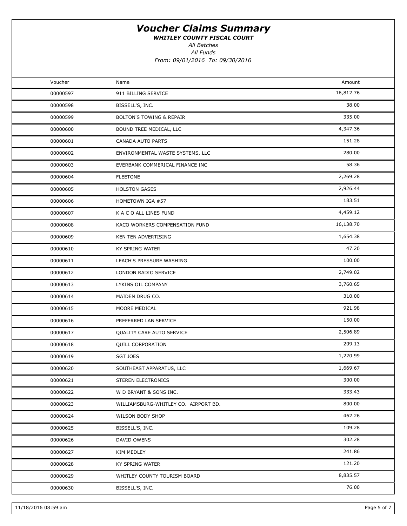WHITLEY COUNTY FISCAL COURT

All Batches

All Funds

| Voucher  | Name                                 | Amount    |  |
|----------|--------------------------------------|-----------|--|
| 00000597 | 911 BILLING SERVICE                  | 16,812.76 |  |
| 00000598 | BISSELL'S, INC.                      | 38.00     |  |
| 00000599 | <b>BOLTON'S TOWING &amp; REPAIR</b>  | 335.00    |  |
| 00000600 | BOUND TREE MEDICAL, LLC              | 4,347.36  |  |
| 00000601 | CANADA AUTO PARTS                    | 151.28    |  |
| 00000602 | ENVIRONMENTAL WASTE SYSTEMS, LLC     | 280.00    |  |
| 00000603 | EVERBANK COMMERICAL FINANCE INC      | 58.36     |  |
| 00000604 | <b>FLEETONE</b>                      | 2,269.28  |  |
| 00000605 | <b>HOLSTON GASES</b>                 | 2,926.44  |  |
| 00000606 | HOMETOWN IGA #57                     | 183.51    |  |
| 00000607 | K A C O ALL LINES FUND               | 4,459.12  |  |
| 00000608 | KACO WORKERS COMPENSATION FUND       | 16,138.70 |  |
| 00000609 | KEN TEN ADVERTISING                  | 1,654.38  |  |
| 00000610 | KY SPRING WATER                      | 47.20     |  |
| 00000611 | LEACH'S PRESSURE WASHING             | 100.00    |  |
| 00000612 | LONDON RADIO SERVICE                 | 2,749.02  |  |
| 00000613 | LYKINS OIL COMPANY                   | 3,760.65  |  |
| 00000614 | MAIDEN DRUG CO.                      | 310.00    |  |
| 00000615 | MOORE MEDICAL                        | 921.98    |  |
| 00000616 | PREFERRED LAB SERVICE                | 150.00    |  |
| 00000617 | QUALITY CARE AUTO SERVICE            | 2,506.89  |  |
| 00000618 | QUILL CORPORATION                    | 209.13    |  |
| 00000619 | <b>SGT JOES</b>                      | 1,220.99  |  |
| 00000620 | SOUTHEAST APPARATUS, LLC             | 1,669.67  |  |
| 00000621 | STEREN ELECTRONICS                   | 300.00    |  |
| 00000622 | W D BRYANT & SONS INC.               | 333.43    |  |
| 00000623 | WILLIAMSBURG-WHITLEY CO. AIRPORT BD. | 800.00    |  |
| 00000624 | WILSON BODY SHOP                     | 462.26    |  |
| 00000625 | BISSELL'S, INC.                      | 109.28    |  |
| 00000626 | DAVID OWENS                          | 302.28    |  |
| 00000627 | KIM MEDLEY                           | 241.86    |  |
| 00000628 | KY SPRING WATER                      | 121.20    |  |
| 00000629 | WHITLEY COUNTY TOURISM BOARD         | 8,835.57  |  |
| 00000630 | BISSELL'S, INC.                      | 76.00     |  |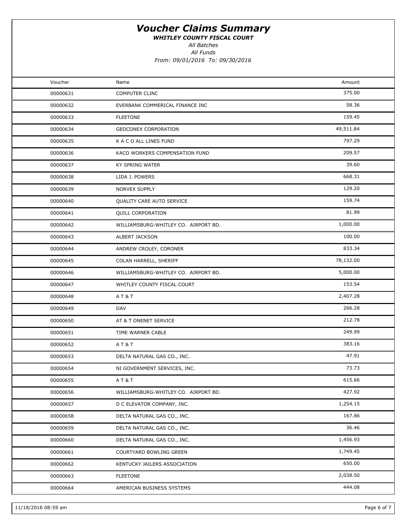WHITLEY COUNTY FISCAL COURT

All Batches

All Funds

| Voucher  | Name                                 | Amount    |  |
|----------|--------------------------------------|-----------|--|
| 00000631 | COMPUTER CLINC                       | 375.00    |  |
| 00000632 | EVERBANK COMMERICAL FINANCE INC      | 58.36     |  |
| 00000633 | <b>FLEETONE</b>                      | 159.45    |  |
| 00000634 | GEOCONEX CORPORATION                 | 49,511.84 |  |
| 00000635 | K A C O ALL LINES FUND               | 797.29    |  |
| 00000636 | KACO WORKERS COMPENSATION FUND       | 209.57    |  |
| 00000637 | KY SPRING WATER                      | 39.60     |  |
| 00000638 | LIDA J. POWERS                       | 668.31    |  |
| 00000639 | NORVEX SUPPLY                        | 129.20    |  |
| 00000640 | QUALITY CARE AUTO SERVICE            | 159.74    |  |
| 00000641 | <b>QUILL CORPORATION</b>             | 81.99     |  |
| 00000642 | WILLIAMSBURG-WHITLEY CO. AIRPORT BD. | 1,000.00  |  |
| 00000643 | ALBERT JACKSON                       | 100.00    |  |
| 00000644 | ANDREW CROLEY, CORONER               | 833.34    |  |
| 00000645 | COLAN HARRELL, SHERIFF               | 78,132.00 |  |
| 00000646 | WILLIAMSBURG-WHITLEY CO. AIRPORT BD. | 5,000.00  |  |
| 00000647 | WHITLEY COUNTY FISCAL COURT          | 153.54    |  |
| 00000648 | <b>AT&amp;T</b>                      | 2,407.28  |  |
| 00000649 | DAV                                  | 266.28    |  |
| 00000650 | AT & T ONENET SERVICE                | 212.78    |  |
| 00000651 | TIME WARNER CABLE                    | 249.99    |  |
| 00000652 | AT&T                                 | 383.16    |  |
| 00000653 | DELTA NATURAL GAS CO., INC.          | 47.91     |  |
| 00000654 | NI GOVERNMENT SERVICES, INC.         | 73.73     |  |
| 00000655 | AT&T                                 | 615.66    |  |
| 00000656 | WILLIAMSBURG-WHITLEY CO. AIRPORT BD. | 427.92    |  |
| 00000657 | D C ELEVATOR COMPANY, INC.           | 1,254.15  |  |
| 00000658 | DELTA NATURAL GAS CO., INC.          | 167.86    |  |
| 00000659 | DELTA NATURAL GAS CO., INC.          | 36.46     |  |
| 00000660 | DELTA NATURAL GAS CO., INC.          | 1,456.93  |  |
| 00000661 | COURTYARD BOWLING GREEN              | 1,749.45  |  |
| 00000662 | KENTUCKY JAILERS ASSOCIATION         | 650.00    |  |
| 00000663 | <b>FLEETONE</b>                      | 2,038.50  |  |
| 00000664 | AMERICAN BUSINESS SYSTEMS            | 444.08    |  |